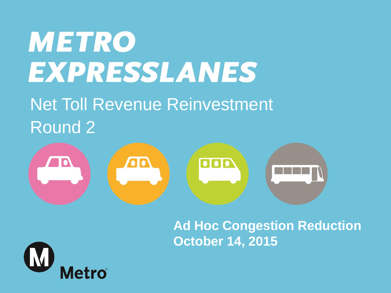# **METRO EXPRESSLANES** Net Toll Revenue Reinvestment Round 2



### **Ad Hoc Congestion Reduction October 14, 2015**

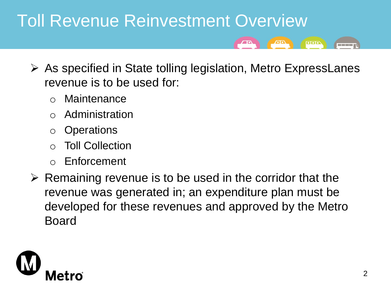# Toll Revenue Reinvestment Overview

- $\triangleright$  As specified in State tolling legislation, Metro ExpressLanes revenue is to be used for:
	- o Maintenance
	- **Administration**
	- o Operations
	- **Toll Collection**
	- o Enforcement
- $\triangleright$  Remaining revenue is to be used in the corridor that the revenue was generated in; an expenditure plan must be developed for these revenues and approved by the Metro Board



**orio** 

an an a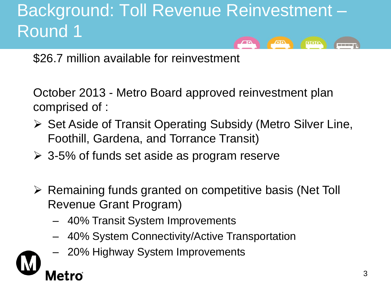#### Background: Toll Revenue Reinvestment – Round 1  $\sqrt{10}$  $\overline{\bullet}$

\$26.7 million available for reinvestment

October 2013 - Metro Board approved reinvestment plan comprised of :

- **► Set Aside of Transit Operating Subsidy (Metro Silver Line,** Foothill, Gardena, and Torrance Transit)
- $\geq$  3-5% of funds set aside as program reserve
- $\triangleright$  Remaining funds granted on competitive basis (Net Toll Revenue Grant Program)
	- 40% Transit System Improvements
	- 40% System Connectivity/Active Transportation
	- 20% Highway System Improvements



a a shekar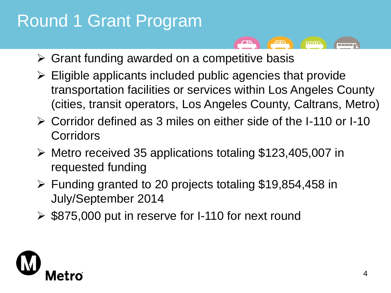## Round 1 Grant Program

- $\sqrt{10}$ ooo **COLOR**
- $\triangleright$  Grant funding awarded on a competitive basis
- $\triangleright$  Eligible applicants included public agencies that provide transportation facilities or services within Los Angeles County (cities, transit operators, Los Angeles County, Caltrans, Metro)
- Corridor defined as 3 miles on either side of the I-110 or I-10 **Corridors**
- Metro received 35 applications totaling \$123,405,007 in requested funding
- $\triangleright$  Funding granted to 20 projects totaling \$19,854,458 in July/September 2014
- $\geq$  \$875,000 put in reserve for I-110 for next round

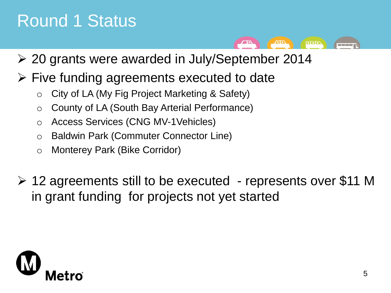### Round 1 Status

20 grants were awarded in July/September 2014

 $\sqrt{2}$ 

 $\overline{\phantom{a}}$ 

an an a

- $\triangleright$  Five funding agreements executed to date
	- o City of LA (My Fig Project Marketing & Safety)
	- o County of LA (South Bay Arterial Performance)
	- o Access Services (CNG MV-1Vehicles)
	- o Baldwin Park (Commuter Connector Line)
	- o Monterey Park (Bike Corridor)
- $\geq$  12 agreements still to be executed represents over \$11 M in grant funding for projects not yet started

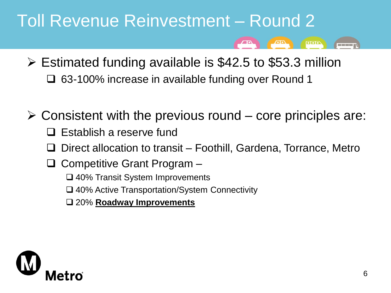### Toll Revenue Reinvestment – Round 2

- $\triangleright$  Estimated funding available is \$42.5 to \$53.3 million 63-100% increase in available funding over Round 1
- $\triangleright$  Consistent with the previous round core principles are:
	- $\Box$  Establish a reserve fund
	- Direct allocation to transit Foothill, Gardena, Torrance, Metro
	- $\Box$  Competitive Grant Program
		- □ 40% Transit System Improvements
		- 40% Active Transportation/System Connectivity
		- 20% **Roadway Improvements**



 $\overline{\phantom{a}}$ 

<u>man ma</u>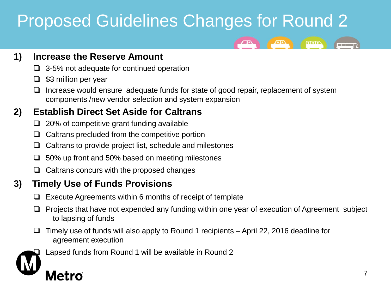# Proposed Guidelines Changes for Round 2



#### **1) Increase the Reserve Amount**

- $\Box$  3-5% not adequate for continued operation
- $\Box$  \$3 million per year
- $\Box$  Increase would ensure adequate funds for state of good repair, replacement of system components /new vendor selection and system expansion

#### **2) Establish Direct Set Aside for Caltrans**

- $\Box$  20% of competitive grant funding available
- $\Box$  Caltrans precluded from the competitive portion
- $\Box$  Caltrans to provide project list, schedule and milestones
- $\Box$  50% up front and 50% based on meeting milestones
- $\Box$  Caltrans concurs with the proposed changes

#### **3) Timely Use of Funds Provisions**

- $\Box$  Execute Agreements within 6 months of receipt of template
- $\Box$  Projects that have not expended any funding within one year of execution of Agreement subject to lapsing of funds
- $\Box$  Timely use of funds will also apply to Round 1 recipients April 22, 2016 deadline for agreement execution



Lapsed funds from Round 1 will be available in Round 2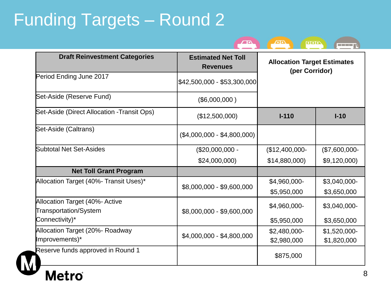# Funding Targets – Round 2

| <b>Draft Reinvestment Categories</b>                    | <b>Estimated Net Toll</b><br><b>Revenues</b> | <b>Allocation Target Estimates</b><br>(per Corridor) |                |
|---------------------------------------------------------|----------------------------------------------|------------------------------------------------------|----------------|
| Period Ending June 2017                                 | $ $42,500,000 - $53,300,000$                 |                                                      |                |
| Set-Aside (Reserve Fund)                                | (\$6,000,000)                                |                                                      |                |
| Set-Aside (Direct Allocation -Transit Ops)              | (\$12,500,000)                               | $I-110$                                              | $I-10$         |
| Set-Aside (Caltrans)                                    | $($4,000,000 - $4,800,000)$                  |                                                      |                |
| Subtotal Net Set-Asides                                 | $($20,000,000 -$                             | $($12,400,000-$                                      | $($7,600,000-$ |
|                                                         | \$24,000,000)                                | \$14,880,000)                                        | \$9,120,000    |
| <b>Net Toll Grant Program</b>                           |                                              |                                                      |                |
| Allocation Target (40%- Transit Uses)*                  | \$8,000,000 - \$9,600,000                    | \$4,960,000-                                         | \$3,040,000-   |
|                                                         |                                              | \$5,950,000                                          | \$3,650,000    |
| Allocation Target (40%- Active<br>Transportation/System | \$8,000,000 - \$9,600,000                    | \$4,960,000-                                         | \$3,040,000-   |
| Connectivity)*                                          |                                              | \$5,950,000                                          | \$3,650,000    |
| Allocation Target (20%- Roadway                         | \$4,000,000 - \$4,800,000                    | \$2,480,000-                                         | \$1,520,000-   |
| Improvements)*                                          |                                              | \$2,980,000                                          | \$1,820,000    |
| Reserve funds approved in Round 1                       |                                              | \$875,000                                            |                |

 $\sqrt{1000}$ 

**ADA** 

 $\sqrt{2}$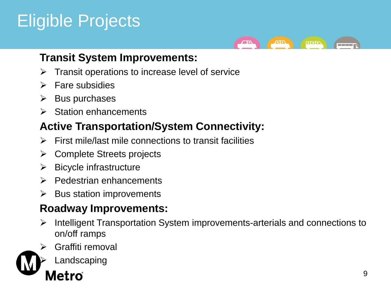# Eligible Projects



### **Transit System Improvements:**

- $\triangleright$  Transit operations to increase level of service
- $\triangleright$  Fare subsidies
- $\triangleright$  Bus purchases
- $\triangleright$  Station enhancements

### **Active Transportation/System Connectivity:**

- $\triangleright$  First mile/last mile connections to transit facilities
- $\triangleright$  Complete Streets projects
- $\triangleright$  Bicycle infrastructure
- $\triangleright$  Pedestrian enhancements
- $\triangleright$  Bus station improvements

### **Roadway Improvements:**

- $\triangleright$  Intelligent Transportation System improvements-arterials and connections to on/off ramps
- Graffiti removal



9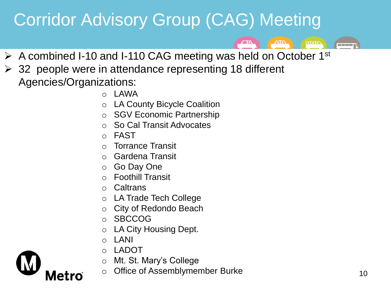# Corridor Advisory Group (CAG) Meeting

 $\triangleright$  A combined I-10 and I-110 CAG meeting was held on October 1<sup>st</sup>

 $\sqrt{10}$ 

 $\overline{\text{one}}$ 

**TELESCOPE** 

- $\geq$  32 people were in attendance representing 18 different Agencies/Organizations:
	- $\circ$  LAWA
	- o LA County Bicycle Coalition
	- o SGV Economic Partnership
	- o So Cal Transit Advocates
	- o FAST
	- o Torrance Transit
	- o Gardena Transit
	- o Go Day One
	- o Foothill Transit
	- o Caltrans
	- o LA Trade Tech College
	- o City of Redondo Beach
	- o SBCCOG
	- o LA City Housing Dept.
	- o LANI

Metro

- o LADOT
- o Mt. St. Mary's College
- o Office of Assemblymember Burke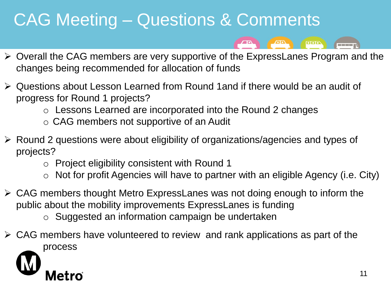### CAG Meeting – Questions & Comments

ooo

- Overall the CAG members are very supportive of the ExpressLanes Program and the changes being recommended for allocation of funds
- Questions about Lesson Learned from Round 1and if there would be an audit of progress for Round 1 projects?
	- o Lessons Learned are incorporated into the Round 2 changes
	- o CAG members not supportive of an Audit
- Round 2 questions were about eligibility of organizations/agencies and types of projects?
	- o Project eligibility consistent with Round 1
	- $\circ$  Not for profit Agencies will have to partner with an eligible Agency (i.e. City)
- $\triangleright$  CAG members thought Metro ExpressLanes was not doing enough to inform the public about the mobility improvements ExpressLanes is funding
	- o Suggested an information campaign be undertaken
- $\triangleright$  CAG members have volunteered to review and rank applications as part of the process